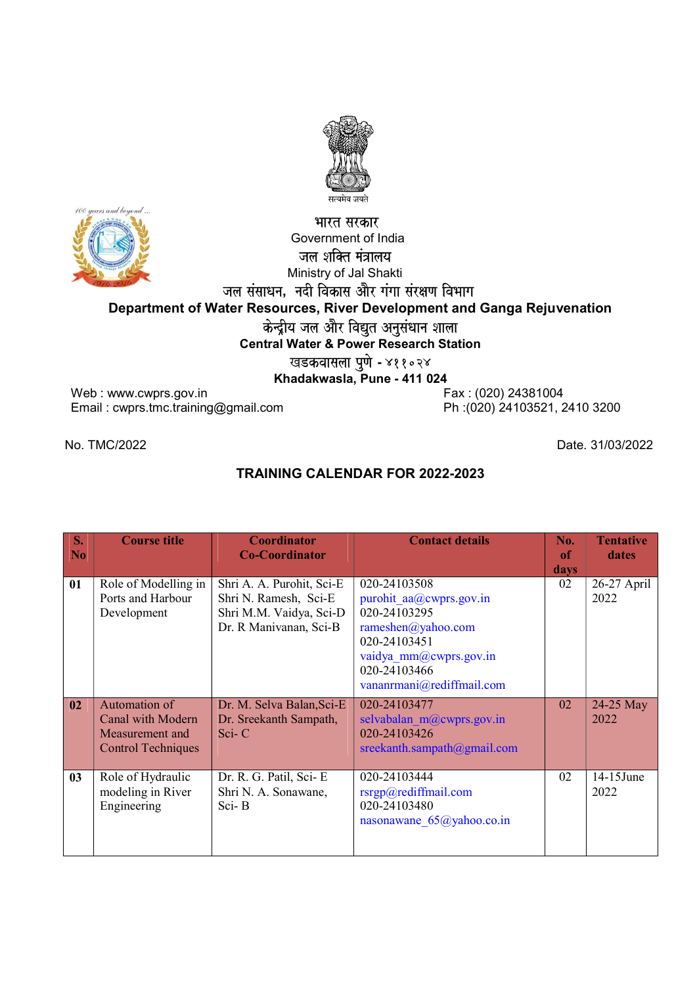

## भारत सरकार Government of India जल शक्ति मंत्रालय Ministry of Jal Shakti जल संसाधन, नदी विकास और गंगा संरक्षण विभाग Department of Water Resources, River Development and Ganga Rejuvenation केन्द्रीय जल और विद्युत अनुसंधान शाला Central Water & Power Research Station ख<mark>डकवासला पुणे -</mark> ४११०२४

Khadakwasla, Pune - 411 024

Web : www.cwprs.gov.in Email : cwprs.tmc.training@gmail.com

Fax : (020) 24381004 Ph :(020) 24103521, 2410 3200

## No. TMC/2022 Date. 31/03/2022

## TRAINING CALENDAR FOR 2022-2023

| S <sub>1</sub><br>N <sub>0</sub> | <b>Course title</b>                                                                | <b>Coordinator</b><br><b>Co-Coordinator</b>                                                             | <b>Contact details</b>                                                                                                                  | No.<br>of  | <b>Tentative</b><br>dates |
|----------------------------------|------------------------------------------------------------------------------------|---------------------------------------------------------------------------------------------------------|-----------------------------------------------------------------------------------------------------------------------------------------|------------|---------------------------|
| 01                               | Role of Modelling in<br>Ports and Harbour<br>Development                           | Shri A. A. Purohit, Sci-E<br>Shri N. Ramesh, Sci-E<br>Shri M.M. Vaidya, Sci-D<br>Dr. R Manivanan, Sci-B | 020-24103508<br>purohit aa@cwprs.gov.in<br>020-24103295<br>rameshen@yahoo.com<br>020-24103451<br>vaidya mm@cwprs.gov.in<br>020-24103466 | days<br>02 | 26-27 April<br>2022       |
|                                  |                                                                                    |                                                                                                         | vananrmani@rediffmail.com                                                                                                               |            |                           |
| 02                               | Automation of<br>Canal with Modern<br>Measurement and<br><b>Control Techniques</b> | Dr. M. Selva Balan, Sci-E<br>Dr. Sreekanth Sampath,<br>$Sci-C$                                          | 020-24103477<br>selvabalan $m(a)$ cwprs.gov.in<br>020-24103426<br>sreekanth.sampath@gmail.com                                           | 02         | 24-25 May<br>2022         |
| 03                               | Role of Hydraulic<br>modeling in River<br>Engineering                              | Dr. R. G. Patil, Sci-E<br>Shri N. A. Sonawane,<br>Sci-B                                                 | 020-24103444<br>rsrgp@redifimal.com<br>020-24103480<br>nasonawane $65$ @yahoo.co.in                                                     | 02         | 14-15June<br>2022         |

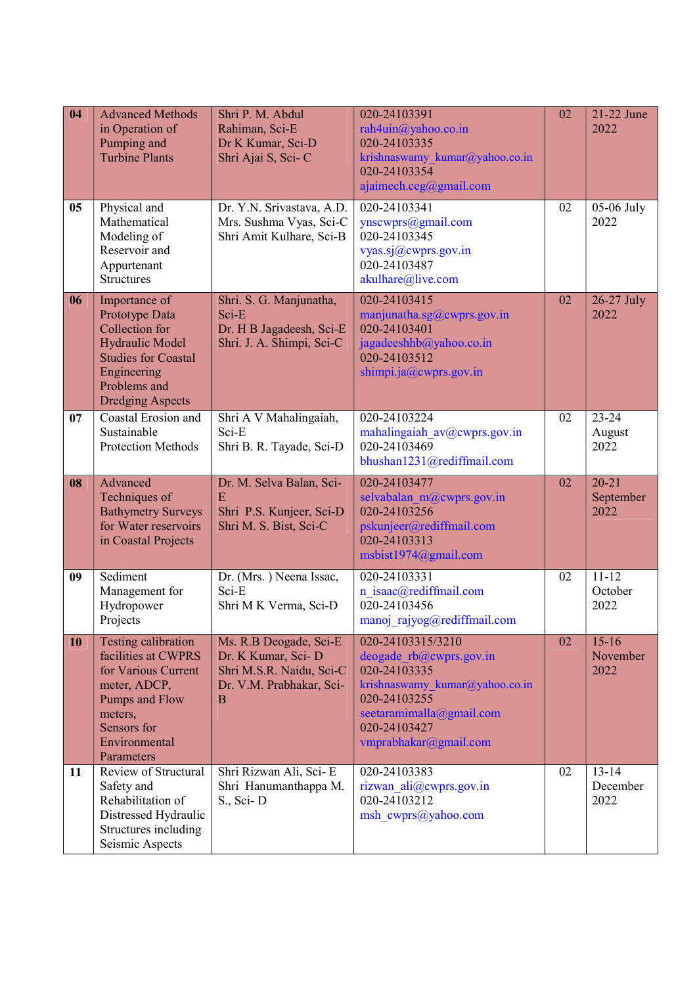| 04 | <b>Advanced Methods</b><br>in Operation of<br>Pumping and<br><b>Turbine Plants</b>                                                                           | Shri P. M. Abdul<br>Rahiman, Sci-E<br>Dr K Kumar, Sci-D<br>Shri Ajai S, Sci-C                             | 020-24103391<br>rah4uin@yahoo.co.in<br>020-24103335<br>krishnaswamy kumar@yahoo.co.in<br>020-24103354<br>ajaimech.ceg@gmail.com                                                     | 02 | 21-22 June<br>2022             |
|----|--------------------------------------------------------------------------------------------------------------------------------------------------------------|-----------------------------------------------------------------------------------------------------------|-------------------------------------------------------------------------------------------------------------------------------------------------------------------------------------|----|--------------------------------|
| 05 | Physical and<br>Mathematical<br>Modeling of<br>Reservoir and<br>Appurtenant<br><b>Structures</b>                                                             | Dr. Y.N. Srivastava, A.D.<br>Mrs. Sushma Vyas, Sci-C<br>Shri Amit Kulhare, Sci-B                          | 020-24103341<br>ynscwprs@gmail.com<br>020-24103345<br>vyas.sj@cwprs.gov.in<br>020-24103487<br>akulhare@live.com                                                                     | 02 | 05-06 July<br>2022             |
| 06 | Importance of<br>Prototype Data<br>Collection for<br>Hydraulic Model<br><b>Studies for Coastal</b><br>Engineering<br>Problems and<br><b>Dredging Aspects</b> | Shri. S. G. Manjunatha,<br>Sci-E<br>Dr. H B Jagadeesh, Sci-E<br>Shri. J. A. Shimpi, Sci-C                 | 020-24103415<br>manjunatha.sg $@cwprs.gov.in$<br>020-24103401<br>jagadeeshhb@yahoo.co.in<br>020-24103512<br>shimpi.ja@cwprs.gov.in                                                  | 02 | 26-27 July<br>2022             |
| 07 | Coastal Erosion and<br>Sustainable<br>Protection Methods                                                                                                     | Shri A V Mahalingaiah,<br>Sci-E<br>Shri B. R. Tayade, Sci-D                                               | 020-24103224<br>mahalingaiah av@cwprs.gov.in<br>020-24103469<br>bhushan1231@rediffmail.com                                                                                          | 02 | $23 - 24$<br>August<br>2022    |
| 08 | Advanced<br>Techniques of<br><b>Bathymetry Surveys</b><br>for Water reservoirs<br>in Coastal Projects                                                        | Dr. M. Selva Balan, Sci-<br>E<br>Shri P.S. Kunjeer, Sci-D<br>Shri M. S. Bist, Sci-C                       | 020-24103477<br>selvabalan m@cwprs.gov.in<br>020-24103256<br>pskunjeer@rediffmail.com<br>020-24103313<br>msbist1974@gmail.com                                                       | 02 | $20 - 21$<br>September<br>2022 |
| 09 | Sediment<br>Management for<br>Hydropower<br>Projects                                                                                                         | Dr. (Mrs.) Neena Issac,<br>Sci-E<br>Shri M K Verma, Sci-D                                                 | 020-24103331<br>n isaac@rediffmail.com<br>020-24103456<br>manoj_rajyog@rediffmail.com                                                                                               | 02 | $11 - 12$<br>October<br>2022   |
| 10 | Testing calibration<br>facilities at CWPRS<br>for Various Current<br>meter, ADCP,<br>Pumps and Flow<br>meters,<br>Sensors for<br>Environmental<br>Parameters | Ms. R.B Deogade, Sci-E<br>Dr. K Kumar, Sci-D<br>Shri M.S.R. Naidu, Sci-C<br>Dr. V.M. Prabhakar, Sci-<br>B | 020-24103315/3210<br>deogade rb@cwprs.gov.in<br>020-24103335<br>krishnaswamy kumar@yahoo.co.in<br>020-24103255<br>seetaramimalla@gmail.com<br>020-24103427<br>vmprabhakar@gmail.com | 02 | $15 - 16$<br>November<br>2022  |
| 11 | Review of Structural<br>Safety and<br>Rehabilitation of<br>Distressed Hydraulic<br>Structures including<br>Seismic Aspects                                   | Shri Rizwan Ali, Sci-E<br>Shri Hanumanthappa M.<br>S., Sci-D                                              | 020-24103383<br>rizwan ali@cwprs.gov.in<br>020-24103212<br>msh cwprs@yahoo.com                                                                                                      | 02 | $13 - 14$<br>December<br>2022  |